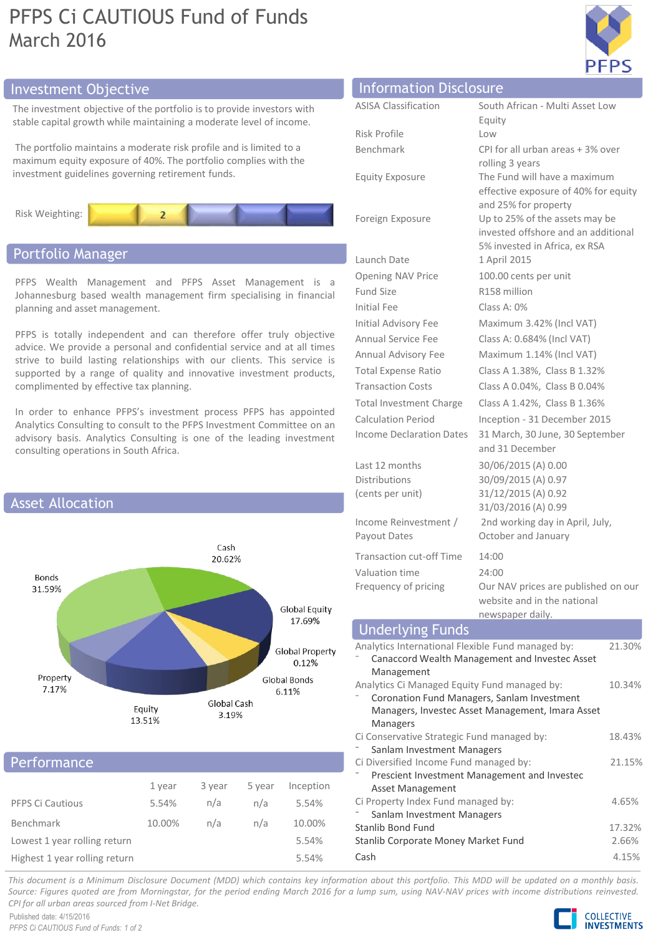# PFPS Ci CAUTIOUS Fund of Funds March 2016



## **Investment Objective**

The investment objective of the portfolio is to provide investors with stable capital growth while maintaining a moderate level of income.

The portfolio maintains a moderate risk profile and is limited to a maximum equity exposure of 40%. The portfolio complies with the investment guidelines governing retirement funds.



## Portfolio Manager

PFPS Wealth Management and PFPS Asset Management is a Johannesburg based wealth management firm specialising in financial planning and asset management.

PFPS is totally independent and can therefore offer truly objective advice. We provide a personal and confidential service and at all times strive to build lasting relationships with our clients. This service is supported by a range of quality and innovative investment products, complimented by effective tax planning.

In order to enhance PFPS's investment process PFPS has appointed Analytics Consulting to consult to the PFPS Investment Committee on an advisory basis. Analytics Consulting is one of the leading investment consulting operations in South Africa.



## **Performance**

|                               | 1 year | 3 year | 5 year | Inception |  |
|-------------------------------|--------|--------|--------|-----------|--|
| <b>PFPS Ci Cautious</b>       | 5.54%  | n/a    | n/a    | 5.54%     |  |
| Benchmark                     | 10.00% | n/a    | n/a    | 10.00%    |  |
| Lowest 1 year rolling return  |        |        |        | 5.54%     |  |
| Highest 1 year rolling return |        |        |        | 5.54%     |  |

| <b>Information Disclosure</b>                              |                                                                                                        |  |  |  |
|------------------------------------------------------------|--------------------------------------------------------------------------------------------------------|--|--|--|
| <b>ASISA Classification</b>                                | South African - Multi Asset Low                                                                        |  |  |  |
|                                                            | Equity                                                                                                 |  |  |  |
| <b>Risk Profile</b>                                        | Low                                                                                                    |  |  |  |
| Benchmark                                                  | CPI for all urban areas + 3% over                                                                      |  |  |  |
|                                                            | rolling 3 years                                                                                        |  |  |  |
| <b>Equity Exposure</b>                                     | The Fund will have a maximum<br>effective exposure of 40% for equity<br>and 25% for property           |  |  |  |
| Foreign Exposure                                           | Up to 25% of the assets may be<br>invested offshore and an additional<br>5% invested in Africa, ex RSA |  |  |  |
| Launch Date                                                | 1 April 2015                                                                                           |  |  |  |
| <b>Opening NAV Price</b>                                   | 100.00 cents per unit                                                                                  |  |  |  |
| <b>Fund Size</b>                                           | R158 million                                                                                           |  |  |  |
| <b>Initial Fee</b>                                         | Class A: 0%                                                                                            |  |  |  |
| <b>Initial Advisory Fee</b>                                | Maximum 3.42% (Incl VAT)                                                                               |  |  |  |
| <b>Annual Service Fee</b>                                  | Class A: 0.684% (Incl VAT)                                                                             |  |  |  |
| Annual Advisory Fee                                        | Maximum 1.14% (Incl VAT)                                                                               |  |  |  |
| <b>Total Expense Ratio</b>                                 | Class A 1.38%, Class B 1.32%                                                                           |  |  |  |
| <b>Transaction Costs</b>                                   | Class A 0.04%, Class B 0.04%                                                                           |  |  |  |
| <b>Total Investment Charge</b>                             | Class A 1.42%, Class B 1.36%                                                                           |  |  |  |
| <b>Calculation Period</b>                                  | Inception - 31 December 2015                                                                           |  |  |  |
| <b>Income Declaration Dates</b>                            | 31 March, 30 June, 30 September<br>and 31 December                                                     |  |  |  |
| Last 12 months                                             | 30/06/2015 (A) 0.00                                                                                    |  |  |  |
| <b>Distributions</b>                                       | 30/09/2015 (A) 0.97                                                                                    |  |  |  |
| (cents per unit)                                           | 31/12/2015 (A) 0.92                                                                                    |  |  |  |
|                                                            | 31/03/2016 (A) 0.99                                                                                    |  |  |  |
| Income Reinvestment /<br>Payout Dates                      | 2nd working day in April, July,<br>October and January                                                 |  |  |  |
| <b>Transaction cut-off Time</b>                            | 14:00                                                                                                  |  |  |  |
| Valuation time                                             | 24:00                                                                                                  |  |  |  |
| Frequency of pricing                                       | Our NAV prices are published on our<br>website and in the national<br>newspaper daily.                 |  |  |  |
| <b>Underlying Funds</b>                                    |                                                                                                        |  |  |  |
| Analytics International Flexible Fund managed by:          | 21.30%                                                                                                 |  |  |  |
| Canaccord Wealth Management and Investec Asset             |                                                                                                        |  |  |  |
| Management<br>Analytics Ci Managed Equity Fund managed by: |                                                                                                        |  |  |  |
| Coronation Eund Managers Sanlam Investment                 | 10.34%                                                                                                 |  |  |  |

| Analytics International Flexible Fund managed by: |        |  |
|---------------------------------------------------|--------|--|
| Canaccord Wealth Management and Investec Asset    |        |  |
| Management                                        |        |  |
| Analytics Ci Managed Equity Fund managed by:      |        |  |
| Coronation Fund Managers, Sanlam Investment       |        |  |
| Managers, Investec Asset Management, Imara Asset  |        |  |
| <b>Managers</b>                                   |        |  |
| Ci Conservative Strategic Fund managed by:        | 18.43% |  |
| Sanlam Investment Managers                        |        |  |
| Ci Diversified Income Fund managed by:            |        |  |
| Prescient Investment Management and Investec      |        |  |
| Asset Management                                  |        |  |
| Ci Property Index Fund managed by:                | 4.65%  |  |
| Sanlam Investment Managers                        |        |  |
| Stanlib Bond Fund                                 | 17.32% |  |
| Stanlib Corporate Money Market Fund               | 2.66%  |  |
| Cash                                              | 4.15%  |  |

This document is a Minimum Disclosure Document (MDD) which contains key information about this portfolio. This MDD will be updated on a monthly basis. Source: Figures quoted are from Morningstar, for the period ending March 2016 for a lump sum, using NAV-NAV prices with income distributions reinvested. *CPI for all urban areas sourced from I-Net Bridge.*

Published date: 4/15/2016 *PFPS Ci CAUTIOUS Fund of Funds: 1 of 2* **COLLECTIVE INVESTMENTS**